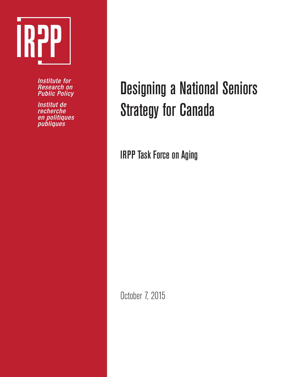

**Institute for Research on Public Policy** 

Institut de recherche en politiques<br>publiques

# Designing a National Seniors Strategy for Canada

IRPP Task Force on Aging

October 7, 2015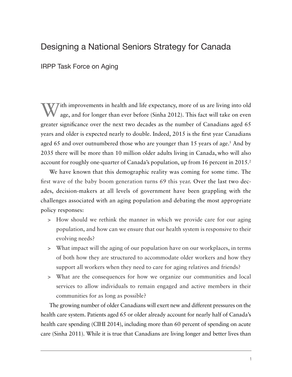# Designing a National Seniors Strategy for Canada

IRPP Task Force on Aging

Tith improvements in health and life expectancy, more of us are living into old age, and for longer than ever before (Sinha 2012). This fact will take on even greater significance over the next two decades as the number of Canadians aged 65 years and older is expected nearly to double. Indeed, 2015 is the first year Canadians aged 65 and over outnumbered those who are younger than 15 years of age.<sup>1</sup> And by 2035 there will be more than 10 million older adults living in Canada, who will also account for roughly one-quarter of Canada's population, up from 16 percent in 2015.<sup>2</sup>

We have known that this demographic reality was coming for some time. The first wave of the baby boom generation turns 69 this year. Over the last two decades, decision-makers at all levels of government have been grappling with the challenges associated with an aging population and debating the most appropriate policy responses:

- > How should we rethink the manner in which we provide care for our aging population, and how can we ensure that our health system is responsive to their evolving needs?
- > What impact will the aging of our population have on our workplaces, in terms of both how they are structured to accommodate older workers and how they support all workers when they need to care for aging relatives and friends?
- > What are the consequences for how we organize our communities and local services to allow individuals to remain engaged and active members in their communities for as long as possible?

The growing number of older Canadians will exert new and different pressures on the health care system. Patients aged 65 or older already account for nearly half of Canada's health care spending (CIHI 2014), including more than 60 percent of spending on acute care (Sinha 2011). While it is true that Canadians are living longer and better lives than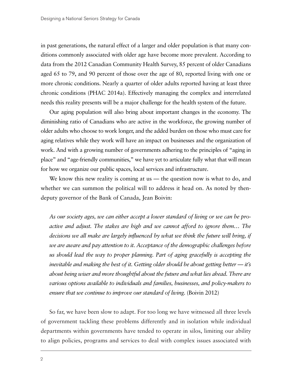in past generations, the natural effect of a larger and older population is that many conditions commonly associated with older age have become more prevalent. According to data from the 2012 Canadian Community Health Survey, 85 percent of older Canadians aged 65 to 79, and 90 percent of those over the age of 80, reported living with one or more chronic conditions. Nearly a quarter of older adults reported having at least three chronic conditions (PHAC 2014a). Effectively managing the complex and interrelated needs this reality presents will be a major challenge for the health system of the future.

Our aging population will also bring about important changes in the economy. The diminishing ratio of Canadians who are active in the workforce, the growing number of older adults who choose to work longer, and the added burden on those who must care for aging relatives while they work will have an impact on businesses and the organization of work. And with a growing number of governments adhering to the principles of "aging in place" and "age-friendly communities," we have yet to articulate fully what that will mean for how we organize our public spaces, local services and infrastructure.

We know this new reality is coming at us — the question now is what to do, and whether we can summon the political will to address it head on. As noted by thendeputy governor of the Bank of Canada, Jean Boivin:

*As our society ages, we can either accept a lower standard of living or we can be pro*active and adjust. The stakes are high and we cannot afford to ignore them... The *decisions we all make are largely influenced by what we think the future will bring, if we are aware and pay attention to it. Acceptance of the demographic challenges before us should lead the way to proper planning. Part of aging gracefully is accepting the inevitable and making the best of it. Getting older should be about getting better — it's about being wiser and more thoughtful about the future and what lies ahead. There are various options available to individuals and families, businesses, and policy-makers to ensure that we continue to improve our standard of living.* (Boivin 2012)

So far, we have been slow to adapt. For too long we have witnessed all three levels of government tackling these problems differently and in isolation while individual departments within governments have tended to operate in silos, limiting our ability to align policies, programs and services to deal with complex issues associated with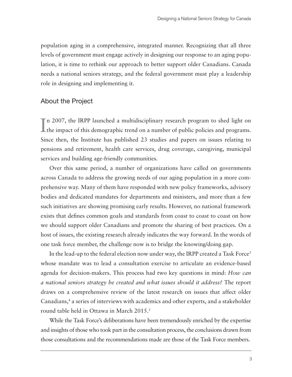population aging in a comprehensive, integrated manner. Recognizing that all three levels of government must engage actively in designing our response to an aging population, it is time to rethink our approach to better support older Canadians. Canada needs a national seniors strategy, and the federal government must play a leadership role in designing and implementing it.

#### About the Project

In 2007, the IRPP launched a multidisciplinary research program to shed light on the impact of this demographic trend on a number of public policies and programs. **I** the impact of this demographic trend on a number of public policies and programs. Since then, the Institute has published 23 studies and papers on issues relating to pensions and retirement, health care services, drug coverage, caregiving, municipal services and building age-friendly communities.

Over this same period, a number of organizations have called on governments across Canada to address the growing needs of our aging population in a more comprehensive way. Many of them have responded with new policy frameworks, advisory bodies and dedicated mandates for departments and ministers, and more than a few such initiatives are showing promising early results. However, no national framework exists that defines common goals and standards from coast to coast to coast on how we should support older Canadians and promote the sharing of best practices. On a host of issues, the existing research already indicates the way forward. In the words of one task force member, the challenge now is to bridge the knowing/doing gap.

In the lead-up to the federal election now under way, the IRPP created a Task Force<sup>3</sup> whose mandate was to lead a consultation exercise to articulate an evidence-based agenda for decision-makers. This process had two key questions in mind: *How can a national seniors strategy be created and what issues should it address?* The report draws on a comprehensive review of the latest research on issues that affect older Canadians,<sup>4</sup> a series of interviews with academics and other experts, and a stakeholder round table held in Ottawa in March 2015.<sup>5</sup>

While the Task Force's deliberations have been tremendously enriched by the expertise and insights of those who took part in the consultation process, the conclusions drawn from those consultations and the recommendations made are those of the Task Force members.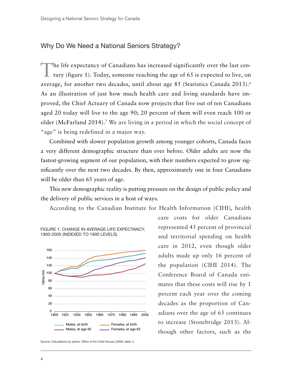#### Why Do We Need a National Seniors Strategy?

The life expectancy of Canadians has increased significantly over the last century (figure 1). Today, someone reaching the age of 65 is expected to live, on average, for another two decades, until about age 85 (Statistics Canada 2013).<sup>6</sup> As an illustration of just how much health care and living standards have improved, the Chief Actuary of Canada now projects that five out of ten Canadians aged 20 today will live to the age 90; 20 percent of them will even reach 100 or older (McFarland 2014).7 We are living in a period in which the social concept of "age" is being redefined in a major way.

Combined with slower population growth among younger cohorts, Canada faces a very different demographic structure than ever before. Older adults are now the fastest-growing segment of our population, with their numbers expected to grow significantly over the next two decades. By then, approximately one in four Canadians will be older than 65 years of age.

This new demographic reality is putting pressure on the design of public policy and the delivery of public services in a host of ways.

According to the Canadian Institute for Health Information (CIHI), health



Source: Calculations by author, Office of the Chief Actuary (2009, table 1).

care costs for older Canadians represented 45 percent of provincial and territorial spending on health care in 2012, even though older adults made up only 16 percent of the population (CIHI 2014). The Conference Board of Canada estimates that these costs will rise by 1 percent each year over the coming decades as the proportion of Canadians over the age of 65 continues to increase (Stonebridge 2013). Although other factors, such as the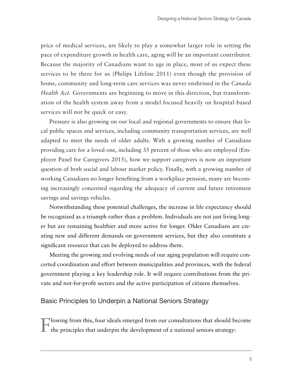price of medical services, are likely to play a somewhat larger role in setting the pace of expenditure growth in health care, aging will be an important contributor. Because the majority of Canadians want to age in place, most of us expect these services to be there for us (Philips Lifeline 2011) even though the provision of home, community and long-term care services was never enshrined in the *Canada Health Act.* Governments are beginning to move in this direction, but transformation of the health system away from a model focused heavily on hospital-based services will not be quick or easy.

Pressure is also growing on our local and regional governments to ensure that local public spaces and services, including community transportation services, are well adapted to meet the needs of older adults. With a growing number of Canadians providing care for a loved one, including 35 percent of those who are employed (Employer Panel for Caregivers 2015), how we support caregivers is now an important question of both social and labour market policy. Finally, with a growing number of working Canadians no longer benefiting from a workplace pension, many are becoming increasingly concerned regarding the adequacy of current and future retirement savings and savings vehicles.

Notwithstanding these potential challenges, the increase in life expectancy should be recognized as a triumph rather than a problem. Individuals are not just living longer but are remaining healthier and more active for longer. Older Canadians are creating new and different demands on government services, but they also constitute a significant resource that can be deployed to address them.

Meeting the growing and evolving needs of our aging population will require concerted coordination and effort between municipalities and provinces, with the federal government playing a key leadership role. It will require contributions from the private and not-for-profit sectors and the active participation of citizens themselves.

#### Basic Principles to Underpin a National Seniors Strategy

Flowing from this, four ideals emerged from our consultations that should become the principles that underpin the development of a national seniors strategy: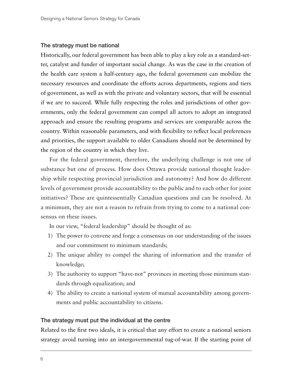#### The strategy must be national

Historically, our federal government has been able to play a key role as a standard-setter, catalyst and funder of important social change. As was the case in the creation of the health care system a half-century ago, the federal government can mobilize the necessary resources and coordinate the efforts across departments, regions and tiers of government, as well as with the private and voluntary sectors, that will be essential if we are to succeed. While fully respecting the roles and jurisdictions of other governments, only the federal government can compel all actors to adopt an integrated approach and ensure the resulting programs and services are comparable across the country. Within reasonable parameters, and with flexibility to reflect local preferences and priorities, the support available to older Canadians should not be determined by the region of the country in which they live.

For the federal government, therefore, the underlying challenge is not one of substance but one of process. How does Ottawa provide national thought leadership while respecting provincial jurisdiction and autonomy? And how do different levels of government provide accountability to the public and to each other for joint initiatives? These are quintessentially Canadian questions and can be resolved. At a minimum, they are not a reason to refrain from trying to come to a national consensus on these issues.

In our view, "federal leadership" should be thought of as:

- 1) The power to convene and forge a consensus on our understanding of the issues and our commitment to minimum standards;
- 2) The unique ability to compel the sharing of information and the transfer of knowledge;
- 3) The authority to support "have-not" provinces in meeting those minimum standards through equalization; and
- 4) The ability to create a national system of mutual accountability among governments and public accountability to citizens.

#### The strategy must put the individual at the centre

Related to the first two ideals, it is critical that any effort to create a national seniors strategy avoid turning into an intergovernmental tug-of-war. If the starting point of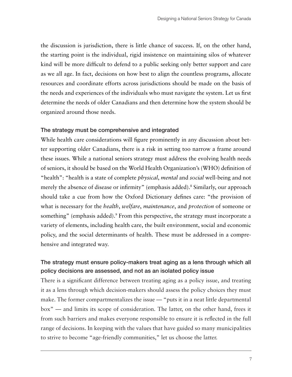the discussion is jurisdiction, there is little chance of success. If, on the other hand, the starting point is the individual, rigid insistence on maintaining silos of whatever kind will be more difficult to defend to a public seeking only better support and care as we all age. In fact, decisions on how best to align the countless programs, allocate resources and coordinate efforts across jurisdictions should be made on the basis of the needs and experiences of the individuals who must navigate the system. Let us first determine the needs of older Canadians and then determine how the system should be organized around those needs.

#### The strategy must be comprehensive and integrated

While health care considerations will figure prominently in any discussion about better supporting older Canadians, there is a risk in setting too narrow a frame around these issues. While a national seniors strategy must address the evolving health needs of seniors, it should be based on the World Health Organization's (WHO) definition of "health": "health is a state of complete *physical*, *mental* and *social* well-being and not merely the absence of disease or infirmity" (emphasis added).8 Similarly, our approach should take a cue from how the Oxford Dictionary defines care: "the provision of what is necessary for the *health*, *welfare*, *maintenance*, and *protection* of someone or something" (emphasis added).<sup>9</sup> From this perspective, the strategy must incorporate a variety of elements, including health care, the built environment, social and economic policy, and the social determinants of health. These must be addressed in a comprehensive and integrated way.

## The strategy must ensure policy-makers treat aging as a lens through which all policy decisions are assessed, and not as an isolated policy issue

There is a significant difference between treating aging as a policy issue, and treating it as a lens through which decision-makers should assess the policy choices they must make. The former compartmentalizes the issue — "puts it in a neat little departmental box" — and limits its scope of consideration. The latter, on the other hand, frees it from such barriers and makes everyone responsible to ensure it is reflected in the full range of decisions. In keeping with the values that have guided so many municipalities to strive to become "age-friendly communities," let us choose the latter.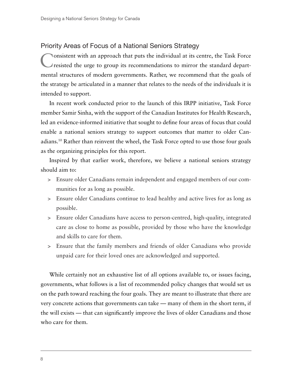## Priority Areas of Focus of a National Seniors Strategy

Consistent with an approach that puts the individual at its centre, the Task Force resisted the urge to group its recommendations to mirror the standard departmental structures of modern governments. Rather, we recommend that the goals of the strategy be articulated in a manner that relates to the needs of the individuals it is intended to support.

In recent work conducted prior to the launch of this IRPP initiative, Task Force member Samir Sinha, with the support of the Canadian Institutes for Health Research, led an evidence-informed initiative that sought to define four areas of focus that could enable a national seniors strategy to support outcomes that matter to older Canadians.10 Rather than reinvent the wheel, the Task Force opted to use those four goals as the organizing principles for this report.

Inspired by that earlier work, therefore, we believe a national seniors strategy should aim to:

- > Ensure older Canadians remain independent and engaged members of our communities for as long as possible.
- > Ensure older Canadians continue to lead healthy and active lives for as long as possible.
- > Ensure older Canadians have access to person-centred, high-quality, integrated care as close to home as possible, provided by those who have the knowledge and skills to care for them.
- > Ensure that the family members and friends of older Canadians who provide unpaid care for their loved ones are acknowledged and supported.

While certainly not an exhaustive list of all options available to, or issues facing, governments, what follows is a list of recommended policy changes that would set us on the path toward reaching the four goals. They are meant to illustrate that there are very concrete actions that governments can take — many of them in the short term, if the will exists — that can significantly improve the lives of older Canadians and those who care for them.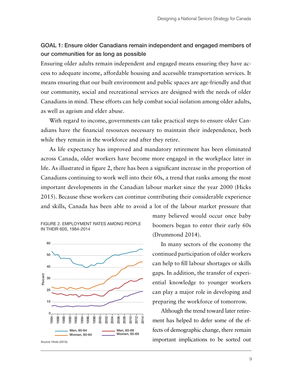### GOAL 1: Ensure older Canadians remain independent and engaged members of our communities for as long as possible

Ensuring older adults remain independent and engaged means ensuring they have access to adequate income, affordable housing and accessible transportation services. It means ensuring that our built environment and public spaces are age-friendly and that our community, social and recreational services are designed with the needs of older Canadians in mind. These efforts can help combat social isolation among older adults, as well as ageism and elder abuse.

With regard to income, governments can take practical steps to ensure older Canadians have the financial resources necessary to maintain their independence, both while they remain in the workforce and after they retire.

As life expectancy has improved and mandatory retirement has been eliminated across Canada, older workers have become more engaged in the workplace later in life. As illustrated in figure 2, there has been a significant increase in the proportion of Canadians continuing to work well into their 60s, a trend that ranks among the most important developments in the Canadian labour market since the year 2000 (Hicks 2015). Because these workers can continue contributing their considerable experience and skills, Canada has been able to avoid a lot of the labour market pressure that



FIGURE 2. EMPLOYMENT RATES AMONG PEOPI F

many believed would occur once baby boomers began to enter their early 60s (Drummond 2014).

In many sectors of the economy the continued participation of older workers can help to fill labour shortages or skills gaps. In addition, the transfer of experiential knowledge to younger workers can play a major role in developing and preparing the workforce of tomorrow.

Although the trend toward later retirement has helped to defer some of the effects of demographic change, there remain important implications to be sorted out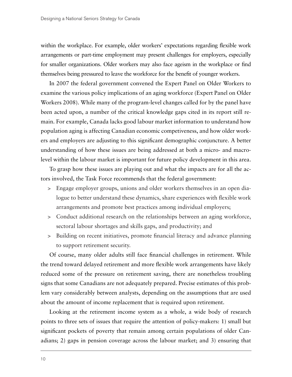within the workplace. For example, older workers' expectations regarding flexible work arrangements or part-time employment may present challenges for employers, especially for smaller organizations. Older workers may also face ageism in the workplace or find themselves being pressured to leave the workforce for the benefit of younger workers.

In 2007 the federal government convened the Expert Panel on Older Workers to examine the various policy implications of an aging workforce (Expert Panel on Older Workers 2008). While many of the program-level changes called for by the panel have been acted upon, a number of the critical knowledge gaps cited in its report still remain. For example, Canada lacks good labour market information to understand how population aging is affecting Canadian economic competiveness, and how older workers and employers are adjusting to this significant demographic conjuncture. A better understanding of how these issues are being addressed at both a micro- and macrolevel within the labour market is important for future policy development in this area.

To grasp how these issues are playing out and what the impacts are for all the actors involved, the Task Force recommends that the federal government:

- > Engage employer groups, unions and older workers themselves in an open dialogue to better understand these dynamics, share experiences with flexible work arrangements and promote best practices among individual employers;
- > Conduct additional research on the relationships between an aging workforce, sectoral labour shortages and skills gaps, and productivity; and
- > Building on recent initiatives, promote financial literacy and advance planning to support retirement security.

Of course, many older adults still face financial challenges in retirement. While the trend toward delayed retirement and more flexible work arrangements have likely reduced some of the pressure on retirement saving, there are nonetheless troubling signs that some Canadians are not adequately prepared. Precise estimates of this problem vary considerably between analysts, depending on the assumptions that are used about the amount of income replacement that is required upon retirement.

Looking at the retirement income system as a whole, a wide body of research points to three sets of issues that require the attention of policy-makers: 1) small but significant pockets of poverty that remain among certain populations of older Canadians; 2) gaps in pension coverage across the labour market; and 3) ensuring that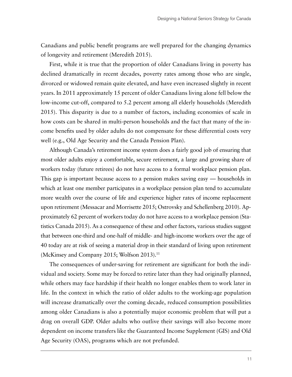Canadians and public benefit programs are well prepared for the changing dynamics of longevity and retirement (Meredith 2015).

First, while it is true that the proportion of older Canadians living in poverty has declined dramatically in recent decades, poverty rates among those who are single, divorced or widowed remain quite elevated, and have even increased slightly in recent years. In 2011 approximately 15 percent of older Canadians living alone fell below the low-income cut-off, compared to 5.2 percent among all elderly households (Meredith 2015). This disparity is due to a number of factors, including economies of scale in how costs can be shared in multi-person households and the fact that many of the income benefits used by older adults do not compensate for these differential costs very well (e.g., Old Age Security and the Canada Pension Plan).

Although Canada's retirement income system does a fairly good job of ensuring that most older adults enjoy a comfortable, secure retirement, a large and growing share of workers today (future retirees) do not have access to a formal workplace pension plan. This gap is important because access to a pension makes saving easy — households in which at least one member participates in a workplace pension plan tend to accumulate more wealth over the course of life and experience higher rates of income replacement upon retirement (Messacar and Morrisette 2015; Ostrovsky and Schellenberg 2010). Approximately 62 percent of workers today do not have access to a workplace pension (Statistics Canada 2015). As a consequence of these and other factors, various studies suggest that between one-third and one-half of middle- and high-income workers over the age of 40 today are at risk of seeing a material drop in their standard of living upon retirement (McKinsey and Company 2015; Wolfson 2013).<sup>11</sup>

The consequences of under-saving for retirement are significant for both the individual and society. Some may be forced to retire later than they had originally planned, while others may face hardship if their health no longer enables them to work later in life. In the context in which the ratio of older adults to the working-age population will increase dramatically over the coming decade, reduced consumption possibilities among older Canadians is also a potentially major economic problem that will put a drag on overall GDP. Older adults who outlive their savings will also become more dependent on income transfers like the Guaranteed Income Supplement (GIS) and Old Age Security (OAS), programs which are not prefunded.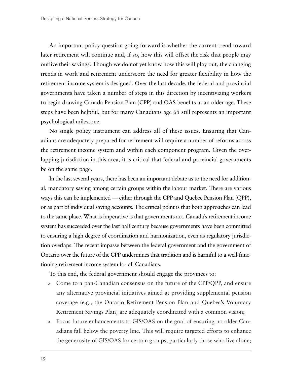An important policy question going forward is whether the current trend toward later retirement will continue and, if so, how this will offset the risk that people may outlive their savings. Though we do not yet know how this will play out, the changing trends in work and retirement underscore the need for greater flexibility in how the retirement income system is designed. Over the last decade, the federal and provincial governments have taken a number of steps in this direction by incentivizing workers to begin drawing Canada Pension Plan (CPP) and OAS benefits at an older age. These steps have been helpful, but for many Canadians age 65 still represents an important psychological milestone.

No single policy instrument can address all of these issues. Ensuring that Canadians are adequately prepared for retirement will require a number of reforms across the retirement income system and within each component program. Given the overlapping jurisdiction in this area, it is critical that federal and provincial governments be on the same page.

In the last several years, there has been an important debate as to the need for additional, mandatory saving among certain groups within the labour market. There are various ways this can be implemented — either through the CPP and Quebec Pension Plan (QPP), or as part of individual saving accounts. The critical point is that both approaches can lead to the same place. What is imperative is that governments act. Canada's retirement income system has succeeded over the last half century because governments have been committed to ensuring a high degree of coordination and harmonization, even as regulatory jurisdiction overlaps. The recent impasse between the federal government and the government of Ontario over the future of the CPP undermines that tradition and is harmful to a well-functioning retirement income system for all Canadians.

To this end, the federal government should engage the provinces to:

- > Come to a pan-Canadian consensus on the future of the CPP/QPP, and ensure any alternative provincial initiatives aimed at providing supplemental pension coverage (e.g., the Ontario Retirement Pension Plan and Quebec's Voluntary Retirement Savings Plan) are adequately coordinated with a common vision;
- > Focus future enhancements to GIS/OAS on the goal of ensuring no older Canadians fall below the poverty line. This will require targeted efforts to enhance the generosity of GIS/OAS for certain groups, particularly those who live alone;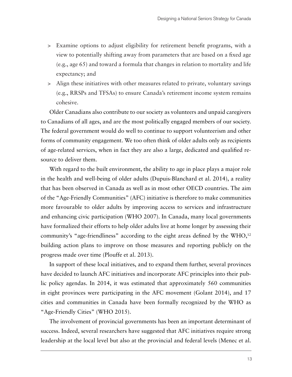- > Examine options to adjust eligibility for retirement benefit programs, with a view to potentially shifting away from parameters that are based on a fixed age (e.g., age 65) and toward a formula that changes in relation to mortality and life expectancy; and
- > Align these initiatives with other measures related to private, voluntary savings (e.g., RRSPs and TFSAs) to ensure Canada's retirement income system remains cohesive.

Older Canadians also contribute to our society as volunteers and unpaid caregivers to Canadians of all ages, and are the most politically engaged members of our society. The federal government would do well to continue to support volunteerism and other forms of community engagement. We too often think of older adults only as recipients of age-related services, when in fact they are also a large, dedicated and qualified resource to deliver them.

With regard to the built environment, the ability to age in place plays a major role in the health and well-being of older adults (Dupuis-Blanchard et al. 2014), a reality that has been observed in Canada as well as in most other OECD countries. The aim of the "Age-Friendly Communities" (AFC) initiative is therefore to make communities more favourable to older adults by improving access to services and infrastructure and enhancing civic participation (WHO 2007). In Canada, many local governments have formalized their efforts to help older adults live at home longer by assessing their community's "age-friendliness" according to the eight areas defined by the WHO,<sup>12</sup> building action plans to improve on those measures and reporting publicly on the progress made over time (Plouffe et al. 2013).

In support of these local initiatives, and to expand them further, several provinces have decided to launch AFC initiatives and incorporate AFC principles into their public policy agendas. In 2014, it was estimated that approximately 560 communities in eight provinces were participating in the AFC movement (Golant 2014), and 17 cities and communities in Canada have been formally recognized by the WHO as "Age-Friendly Cities" (WHO 2015).

The involvement of provincial governments has been an important determinant of success. Indeed, several researchers have suggested that AFC initiatives require strong leadership at the local level but also at the provincial and federal levels (Menec et al.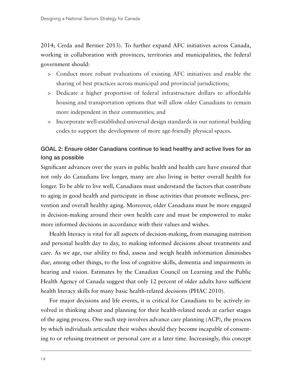2014; Cerda and Bernier 2013). To further expand AFC initiatives across Canada, working in collaboration with provinces, territories and municipalities, the federal government should:

- > Conduct more robust evaluations of existing AFC initiatives and enable the sharing of best practices across municipal and provincial jurisdictions;
- > Dedicate a higher proportion of federal infrastructure dollars to affordable housing and transportation options that will allow older Canadians to remain more independent in their communities; and
- > Incorporate well-established universal design standards in our national building codes to support the development of more age-friendly physical spaces.

### GOAL 2: Ensure older Canadians continue to lead healthy and active lives for as long as possible

Significant advances over the years in public health and health care have ensured that not only do Canadians live longer, many are also living in better overall health for longer. To be able to live well, Canadians must understand the factors that contribute to aging in good health and participate in those activities that promote wellness, prevention and overall healthy aging. Moreover, older Canadians must be more engaged in decision-making around their own health care and must be empowered to make more informed decisions in accordance with their values and wishes.

Health literacy is vital for all aspects of decision-making, from managing nutrition and personal health day to day, to making informed decisions about treatments and care. As we age, our ability to find, assess and weigh health information diminishes due, among other things, to the loss of cognitive skills, dementia and impairments in hearing and vision. Estimates by the Canadian Council on Learning and the Public Health Agency of Canada suggest that only 12 percent of older adults have sufficient health literacy skills for many basic health-related decisions (PHAC 2010).

For major decisions and life events, it is critical for Canadians to be actively involved in thinking about and planning for their health-related needs at earlier stages of the aging process. One such step involves advance care planning (ACP), the process by which individuals articulate their wishes should they become incapable of consenting to or refusing treatment or personal care at a later time. Increasingly, this concept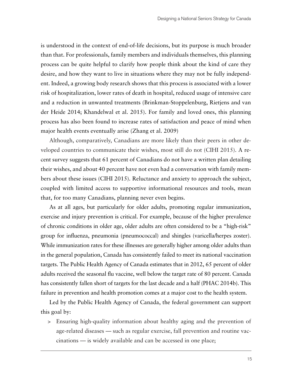is understood in the context of end-of-life decisions, but its purpose is much broader than that. For professionals, family members and individuals themselves, this planning process can be quite helpful to clarify how people think about the kind of care they desire, and how they want to live in situations where they may not be fully independent. Indeed, a growing body research shows that this process is associated with a lower risk of hospitalization, lower rates of death in hospital, reduced usage of intensive care and a reduction in unwanted treatments (Brinkman-Stoppelenburg, Rietjens and van der Heide 2014; Khandelwal et al. 2015). For family and loved ones, this planning process has also been found to increase rates of satisfaction and peace of mind when major health events eventually arise (Zhang et al. 2009)

Although, comparatively, Canadians are more likely than their peers in other developed countries to communicate their wishes, most still do not (CIHI 2015). A recent survey suggests that 61 percent of Canadians do not have a written plan detailing their wishes, and about 40 percent have not even had a conversation with family members about these issues (CIHI 2015). Reluctance and anxiety to approach the subject, coupled with limited access to supportive informational resources and tools, mean that, for too many Canadians, planning never even begins.

As at all ages, but particularly for older adults, promoting regular immunization, exercise and injury prevention is critical. For example, because of the higher prevalence of chronic conditions in older age, older adults are often considered to be a "high-risk" group for influenza, pneumonia (pneumococcal) and shingles (varicella/herpes zoster). While immunization rates for these illnesses are generally higher among older adults than in the general population, Canada has consistently failed to meet its national vaccination targets. The Public Health Agency of Canada estimates that in 2012, 65 percent of older adults received the seasonal flu vaccine, well below the target rate of 80 percent. Canada has consistently fallen short of targets for the last decade and a half (PHAC 2014b). This failure in prevention and health promotion comes at a major cost to the health system.

Led by the Public Health Agency of Canada, the federal government can support this goal by:

> Ensuring high-quality information about healthy aging and the prevention of age-related diseases — such as regular exercise, fall prevention and routine vaccinations — is widely available and can be accessed in one place;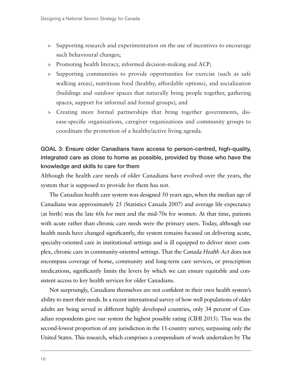- > Supporting research and experimentation on the use of incentives to encourage such behavioural changes;
- > Promoting health literacy, informed decision-making and ACP;
- > Supporting communities to provide opportunities for exercise (such as safe walking areas), nutritious food (healthy, affordable options), and socialization (buildings and outdoor spaces that naturally bring people together, gathering spaces, support for informal and formal groups); and
- > Creating more formal partnerships that bring together governments, disease-specific organizations, caregiver organizations and community groups to coordinate the promotion of a healthy/active living agenda.

# GOAL 3: Ensure older Canadians have access to person-centred, high-quality, integrated care as close to home as possible, provided by those who have the knowledge and skills to care for them

Although the health care needs of older Canadians have evolved over the years, the system that is supposed to provide for them has not.

The Canadian health care system was designed 50 years ago, when the median age of Canadians was approximately 25 (Statistics Canada 2007) and average life expectancy (at birth) was the late 60s for men and the mid-70s for women. At that time, patients with acute rather than chronic care needs were the primary users. Today, although our health needs have changed significantly, the system remains focused on delivering acute, specialty-oriented care in institutional settings and is ill equipped to deliver more complex, chronic care in community-oriented settings. That the *Canada Health Act* does not encompass coverage of home, community and long-term care services, or prescription medications, significantly limits the levers by which we can ensure equitable and consistent access to key health services for older Canadians.

Not surprisingly, Canadians themselves are not confident in their own health system's ability to meet their needs. In a recent international survey of how well populations of older adults are being served in different highly developed countries, only 34 percent of Canadian respondents gave our system the highest possible rating (CIHI 2015). This was the second-lowest proportion of any jurisdiction in the 11-country survey, surpassing only the United States. This research, which comprises a compendium of work undertaken by The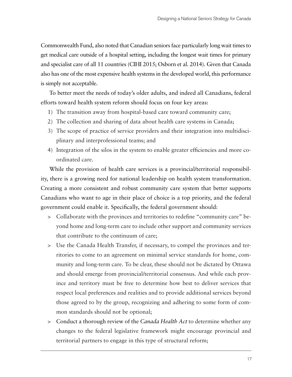Commonwealth Fund, also noted that Canadian seniors face particularly long wait times to get medical care outside of a hospital setting, including the longest wait times for primary and specialist care of all 11 countries (CIHI 2015; Osborn et al. 2014). Given that Canada also has one of the most expensive health systems in the developed world, this performance is simply not acceptable.

To better meet the needs of today's older adults, and indeed all Canadians, federal efforts toward health system reform should focus on four key areas:

- 1) The transition away from hospital-based care toward community care;
- 2) The collection and sharing of data about health care systems in Canada;
- 3) The scope of practice of service providers and their integration into multidisciplinary and interprofessional teams; and
- 4) Integration of the silos in the system to enable greater efficiencies and more coordinated care.

While the provision of health care services is a provincial/territorial responsibility, there is a growing need for national leadership on health system transformation. Creating a more consistent and robust community care system that better supports Canadians who want to age in their place of choice is a top priority, and the federal government could enable it. Specifically, the federal government should:

- > Collaborate with the provinces and territories to redefine "community care" beyond home and long-term care to include other support and community services that contribute to the continuum of care;
- > Use the Canada Health Transfer, if necessary, to compel the provinces and territories to come to an agreement on minimal service standards for home, community and long-term care. To be clear, these should not be dictated by Ottawa and should emerge from provincial/territorial consensus. And while each province and territory must be free to determine how best to deliver services that respect local preferences and realities and to provide additional services beyond those agreed to by the group, recognizing and adhering to some form of common standards should not be optional;
- > Conduct a thorough review of the *Canada Health Act* to determine whether any changes to the federal legislative framework might encourage provincial and territorial partners to engage in this type of structural reform;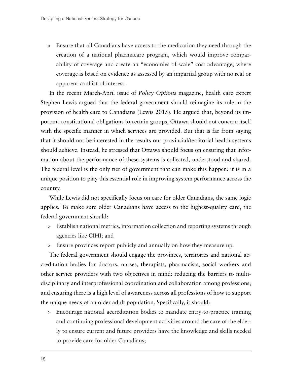> Ensure that all Canadians have access to the medication they need through the creation of a national pharmacare program, which would improve comparability of coverage and create an "economies of scale" cost advantage, where coverage is based on evidence as assessed by an impartial group with no real or apparent conflict of interest.

In the recent March-April issue of *Policy Options* magazine, health care expert Stephen Lewis argued that the federal government should reimagine its role in the provision of health care to Canadians (Lewis 2015). He argued that, beyond its important constitutional obligations to certain groups, Ottawa should not concern itself with the specific manner in which services are provided. But that is far from saying that it should not be interested in the results our provincial/territorial health systems should achieve. Instead, he stressed that Ottawa should focus on ensuring that information about the performance of these systems is collected, understood and shared. The federal level is the only tier of government that can make this happen: it is in a unique position to play this essential role in improving system performance across the country.

While Lewis did not specifically focus on care for older Canadians, the same logic applies. To make sure older Canadians have access to the highest-quality care, the federal government should:

- > Establish national metrics, information collection and reporting systems through agencies like CIHI; and
- > Ensure provinces report publicly and annually on how they measure up.

The federal government should engage the provinces, territories and national accreditation bodies for doctors, nurses, therapists, pharmacists, social workers and other service providers with two objectives in mind: reducing the barriers to multidisciplinary and interprofessional coordination and collaboration among professions; and ensuring there is a high level of awareness across all professions of how to support the unique needs of an older adult population. Specifically, it should:

> Encourage national accreditation bodies to mandate entry-to-practice training and continuing professional development activities around the care of the elderly to ensure current and future providers have the knowledge and skills needed to provide care for older Canadians;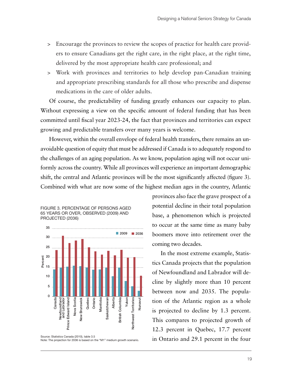- > Encourage the provinces to review the scopes of practice for health care providers to ensure Canadians get the right care, in the right place, at the right time, delivered by the most appropriate health care professional; and
- > Work with provinces and territories to help develop pan-Canadian training and appropriate prescribing standards for all those who prescribe and dispense medications in the care of older adults.

Of course, the predictability of funding greatly enhances our capacity to plan. Without expressing a view on the specific amount of federal funding that has been committed until fiscal year 2023-24, the fact that provinces and territories can expect growing and predictable transfers over many years is welcome.

However, within the overall envelope of federal health transfers, there remains an unavoidable question of equity that must be addressed if Canada is to adequately respond to the challenges of an aging population. As we know, population aging will not occur uniformly across the country. While all provinces will experience an important demographic shift, the central and Atlantic provinces will be the most significantly affected (figure 3). Combined with what are now some of the highest median ages in the country, Atlantic

FIGURE 3. PERCENTAGE OF PERSONS AGED 65 YEARS OR OVER, OBSERVED (2009) AND PROJECTED (2036)



Source: Statistics Canada (2010), table 3.5<br>Note: The projection for 2036 is based on the "M1" medium growth scenario.

provinces also face the grave prospect of a potential decline in their total population base, a phenomenon which is projected to occur at the same time as many baby boomers move into retirement over the coming two decades.

In the most extreme example, Statistics Canada projects that the population of Newfoundland and Labrador will decline by slightly more than 10 percent between now and 2035. The population of the Atlantic region as a whole is projected to decline by 1.3 percent. This compares to projected growth of 12.3 percent in Quebec, 17.7 percent in Ontario and 29.1 percent in the four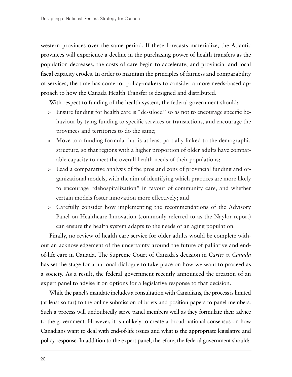western provinces over the same period. If these forecasts materialize, the Atlantic provinces will experience a decline in the purchasing power of health transfers as the population decreases, the costs of care begin to accelerate, and provincial and local fiscal capacity erodes. In order to maintain the principles of fairness and comparability of services, the time has come for policy-makers to consider a more needs-based approach to how the Canada Health Transfer is designed and distributed.

With respect to funding of the health system, the federal government should:

- > Ensure funding for health care is "de-siloed" so as not to encourage specific behaviour by tying funding to specific services or transactions, and encourage the provinces and territories to do the same;
- > Move to a funding formula that is at least partially linked to the demographic structure, so that regions with a higher proportion of older adults have comparable capacity to meet the overall health needs of their populations;
- > Lead a comparative analysis of the pros and cons of provincial funding and organizational models, with the aim of identifying which practices are more likely to encourage "dehospitalization" in favour of community care, and whether certain models foster innovation more effectively; and
- > Carefully consider how implementing the recommendations of the Advisory Panel on Healthcare Innovation (commonly referred to as the Naylor report) can ensure the health system adapts to the needs of an aging population.

Finally, no review of health care service for older adults would be complete without an acknowledgement of the uncertainty around the future of palliative and endof-life care in Canada. The Supreme Court of Canada's decision in *Carter v. Canada*  has set the stage for a national dialogue to take place on how we want to proceed as a society. As a result, the federal government recently announced the creation of an expert panel to advise it on options for a legislative response to that decision.

While the panel's mandate includes a consultation with Canadians, the process is limited (at least so far) to the online submission of briefs and position papers to panel members. Such a process will undoubtedly serve panel members well as they formulate their advice to the government. However, it is unlikely to create a broad national consensus on how Canadians want to deal with end-of-life issues and what is the appropriate legislative and policy response. In addition to the expert panel, therefore, the federal government should: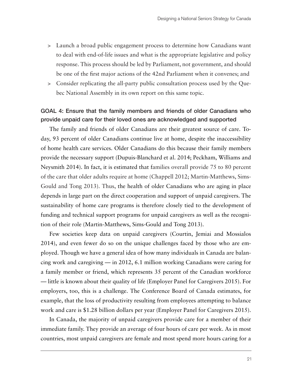- > Launch a broad public engagement process to determine how Canadians want to deal with end-of-life issues and what is the appropriate legislative and policy response. This process should be led by Parliament, not government, and should be one of the first major actions of the 42nd Parliament when it convenes; and
- > Consider replicating the all-party public consultation process used by the Quebec National Assembly in its own report on this same topic.

### GOAL 4: Ensure that the family members and friends of older Canadians who provide unpaid care for their loved ones are acknowledged and supported

The family and friends of older Canadians are their greatest source of care. Today, 93 percent of older Canadians continue live at home, despite the inaccessibility of home health care services. Older Canadians do this because their family members provide the necessary support (Dupuis-Blanchard et al. 2014; Peckham, Williams and Neysmith 2014). In fact, it is estimated that families overall provide 75 to 80 percent of the care that older adults require at home (Chappell 2012; Martin-Matthews, Sims-Gould and Tong 2013). Thus, the health of older Canadians who are aging in place depends in large part on the direct cooperation and support of unpaid caregivers. The sustainability of home care programs is therefore closely tied to the development of funding and technical support programs for unpaid caregivers as well as the recognition of their role (Martin-Matthews, Sims-Gould and Tong 2013).

Few societies keep data on unpaid caregivers (Courtin, Jemiai and Mossialos 2014), and even fewer do so on the unique challenges faced by those who are employed. Though we have a general idea of how many individuals in Canada are balancing work and caregiving — in 2012, 6.1 million working Canadians were caring for a family member or friend, which represents 35 percent of the Canadian workforce — little is known about their quality of life (Employer Panel for Caregivers 2015). For employers, too, this is a challenge. The Conference Board of Canada estimates, for example, that the loss of productivity resulting from employees attempting to balance work and care is \$1.28 billion dollars per year (Employer Panel for Caregivers 2015).

In Canada, the majority of unpaid caregivers provide care for a member of their immediate family. They provide an average of four hours of care per week. As in most countries, most unpaid caregivers are female and most spend more hours caring for a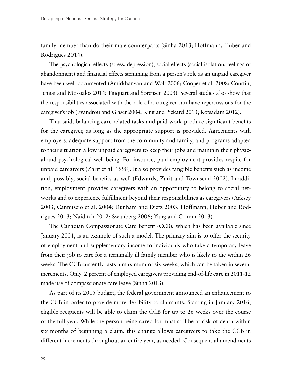family member than do their male counterparts (Sinha 2013; Hoffmann, Huber and Rodrigues 2014).

The psychological effects (stress, depression), social effects (social isolation, feelings of abandonment) and financial effects stemming from a person's role as an unpaid caregiver have been well documented (Amirkhanyan and Wolf 2006; Cooper et al. 2008; Courtin, Jemiai and Mossialos 2014; Pinquart and Sorensen 2003). Several studies also show that the responsibilities associated with the role of a caregiver can have repercussions for the caregiver's job (Evandrou and Glaser 2004; King and Pickard 2013; Kotsadam 2012).

That said, balancing care-related tasks and paid work produce significant benefits for the caregiver, as long as the appropriate support is provided. Agreements with employers, adequate support from the community and family, and programs adapted to their situation allow unpaid caregivers to keep their jobs and maintain their physical and psychological well-being. For instance, paid employment provides respite for unpaid caregivers (Zarit et al. 1998). It also provides tangible benefits such as income and, possibly, social benefits as well (Edwards, Zarit and Townsend 2002). In addition, employment provides caregivers with an opportunity to belong to social networks and to experience fulfillment beyond their responsibilities as caregivers (Arksey 2003; Cannuscio et al. 2004; Dunham and Dietz 2003; Hoffmann, Huber and Rodrigues 2013; Naiditch 2012; Swanberg 2006; Yang and Grimm 2013).

The Canadian Compassionate Care Benefit (CCB), which has been available since January 2004, is an example of such a model. The primary aim is to offer the security of employment and supplementary income to individuals who take a temporary leave from their job to care for a terminally ill family member who is likely to die within 26 weeks. The CCB currently lasts a maximum of six weeks, which can be taken in several increments. Only 2 percent of employed caregivers providing end-of-life care in 2011-12 made use of compassionate care leave (Sinha 2013).

As part of its 2015 budget, the federal government announced an enhancement to the CCB in order to provide more flexibility to claimants. Starting in January 2016, eligible recipients will be able to claim the CCB for up to 26 weeks over the course of the full year. While the person being cared for must still be at risk of death within six months of beginning a claim, this change allows caregivers to take the CCB in different increments throughout an entire year, as needed. Consequential amendments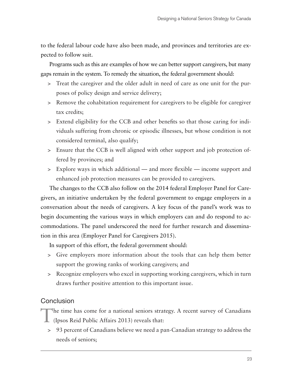to the federal labour code have also been made, and provinces and territories are expected to follow suit.

Programs such as this are examples of how we can better support caregivers, but many gaps remain in the system. To remedy the situation, the federal government should:

- > Treat the caregiver and the older adult in need of care as one unit for the purposes of policy design and service delivery;
- > Remove the cohabitation requirement for caregivers to be eligible for caregiver tax credits;
- > Extend eligibility for the CCB and other benefits so that those caring for individuals suffering from chronic or episodic illnesses, but whose condition is not considered terminal, also qualify;
- > Ensure that the CCB is well aligned with other support and job protection offered by provinces; and
- > Explore ways in which additional and more flexible income support and enhanced job protection measures can be provided to caregivers.

The changes to the CCB also follow on the 2014 federal Employer Panel for Caregivers, an initiative undertaken by the federal government to engage employers in a conversation about the needs of caregivers. A key focus of the panel's work was to begin documenting the various ways in which employers can and do respond to accommodations. The panel underscored the need for further research and dissemination in this area (Employer Panel for Caregivers 2015).

In support of this effort, the federal government should:

- > Give employers more information about the tools that can help them better support the growing ranks of working caregivers; and
- > Recognize employers who excel in supporting working caregivers, which in turn draws further positive attention to this important issue.

#### **Conclusion**

The time has come for a national seniors strategy. A recent survey of Canadians

- (Ipsos Reid Public Affairs 2013) reveals that:
- > 93 percent of Canadians believe we need a pan-Canadian strategy to address the needs of seniors;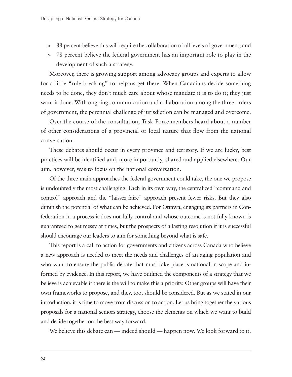- > 88 percent believe this will require the collaboration of all levels of government; and
- > 78 percent believe the federal government has an important role to play in the development of such a strategy.

Moreover, there is growing support among advocacy groups and experts to allow for a little "rule breaking" to help us get there. When Canadians decide something needs to be done, they don't much care about whose mandate it is to do it; they just want it done. With ongoing communication and collaboration among the three orders of government, the perennial challenge of jurisdiction can be managed and overcome.

Over the course of the consultation, Task Force members heard about a number of other considerations of a provincial or local nature that flow from the national conversation.

These debates should occur in every province and territory. If we are lucky, best practices will be identified and, more importantly, shared and applied elsewhere. Our aim, however, was to focus on the national conversation.

Of the three main approaches the federal government could take, the one we propose is undoubtedly the most challenging. Each in its own way, the centralized "command and control" approach and the "laissez-faire" approach present fewer risks. But they also diminish the potential of what can be achieved. For Ottawa, engaging its partners in Confederation in a process it does not fully control and whose outcome is not fully known is guaranteed to get messy at times, but the prospects of a lasting resolution if it is successful should encourage our leaders to aim for something beyond what is safe.

This report is a call to action for governments and citizens across Canada who believe a new approach is needed to meet the needs and challenges of an aging population and who want to ensure the public debate that must take place is national in scope and informed by evidence. In this report, we have outlined the components of a strategy that we believe is achievable if there is the will to make this a priority. Other groups will have their own frameworks to propose, and they, too, should be considered. But as we stated in our introduction, it is time to move from discussion to action. Let us bring together the various proposals for a national seniors strategy, choose the elements on which we want to build and decide together on the best way forward.

We believe this debate can — indeed should — happen now. We look forward to it.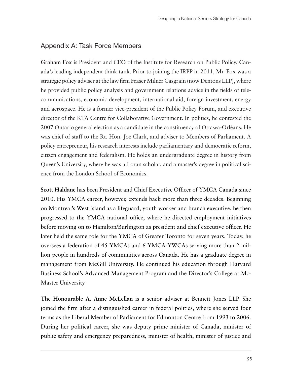# Appendix A: Task Force Members

**Graham Fox** is President and CEO of the Institute for Research on Public Policy, Canada's leading independent think tank. Prior to joining the IRPP in 2011, Mr. Fox was a strategic policy adviser at the law firm Fraser Milner Casgrain (now Dentons LLP), where he provided public policy analysis and government relations advice in the fields of telecommunications, economic development, international aid, foreign investment, energy and aerospace. He is a former vice-president of the Public Policy Forum, and executive director of the KTA Centre for Collaborative Government. In politics, he contested the 2007 Ontario general election as a candidate in the constituency of Ottawa-Orléans. He was chief of staff to the Rt. Hon. Joe Clark, and adviser to Members of Parliament. A policy entrepreneur, his research interests include parliamentary and democratic reform, citizen engagement and federalism. He holds an undergraduate degree in history from Queen's University, where he was a Loran scholar, and a master's degree in political science from the London School of Economics.

**Scott Haldane** has been President and Chief Executive Officer of YMCA Canada since 2010. His YMCA career, however, extends back more than three decades. Beginning on Montreal's West Island as a lifeguard, youth worker and branch executive, he then progressed to the YMCA national office, where he directed employment initiatives before moving on to Hamilton/Burlington as president and chief executive officer. He later held the same role for the YMCA of Greater Toronto for seven years. Today, he oversees a federation of 45 YMCAs and 6 YMCA-YWCAs serving more than 2 million people in hundreds of communities across Canada. He has a graduate degree in management from McGill University. He continued his education through Harvard Business School's Advanced Management Program and the Director's College at Mc-Master University

**The Honourable A. Anne McLellan** is a senior adviser at Bennett Jones LLP. She joined the firm after a distinguished career in federal politics, where she served four terms as the Liberal Member of Parliament for Edmonton Centre from 1993 to 2006. During her political career, she was deputy prime minister of Canada, minister of public safety and emergency preparedness, minister of health, minister of justice and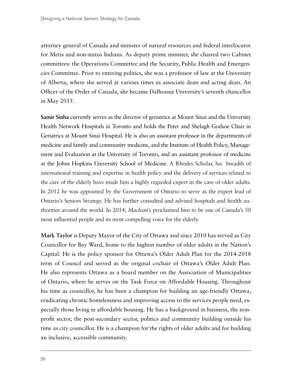attorney general of Canada and minister of natural resources and federal interlocutor for Metis and non-status Indians. As deputy prime minister, she chaired two Cabinet committees: the Operations Committee and the Security, Public Health and Emergencies Committee. Prior to entering politics, she was a professor of law at the University of Alberta, where she served at various times as associate dean and acting dean. An Officer of the Order of Canada, she became Dalhousie University's seventh chancellor in May 2015.

**Samir Sinha** currently serves as the director of geriatrics at Mount Sinai and the University Health Network Hospitals in Toronto and holds the Peter and Shelagh Godsoe Chair in Geriatrics at Mount Sinai Hospital. He is also an assistant professor in the departments of medicine and family and community medicine, and the Institute of Health Policy, Management and Evaluation at the University of Toronto, and an assistant professor of medicine at the Johns Hopkins University School of Medicine. A Rhodes Scholar, his breadth of international training and expertise in health policy and the delivery of services related to the care of the elderly have made him a highly regarded expert in the care of older adults. In 2012 he was appointed by the Government of Ontario to serve as the expert lead of Ontario's Seniors Strategy. He has further consulted and advised hospitals and health authorities around the world. In 2014, *Maclean's* proclaimed him to be one of Canada's 50 most influential people and its most compelling voice for the elderly.

**Mark Taylor** is Deputy Mayor of the City of Ottawa and since 2010 has served as City Councillor for Bay Ward, home to the highest number of older adults in the Nation's Capital. He is the policy sponsor for Ottawa's Older Adult Plan for the 2014-2018 term of Council and served as the original cochair of Ottawa's Older Adult Plan. He also represents Ottawa as a board member on the Association of Municipalities of Ontario, where he serves on the Task Force on Affordable Housing. Throughout his time as councillor, he has been a champion for building an age-friendly Ottawa, eradicating chronic homelessness and improving access to the services people need, especially those living in affordable housing. He has a background in business, the nonprofit sector, the post-secondary sector, politics and community building outside his time as city councillor. He is a champion for the rights of older adults and for building an inclusive, accessible community.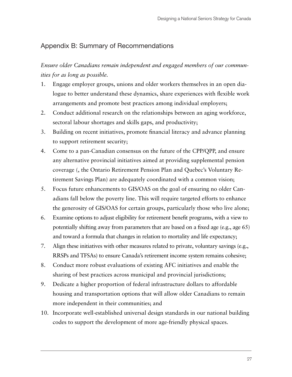# Appendix B: Summary of Recommendations

*Ensure older Canadians remain independent and engaged members of our communities for as long as possible.* 

- 1. Engage employer groups, unions and older workers themselves in an open dialogue to better understand these dynamics, share experiences with flexible work arrangements and promote best practices among individual employers;
- 2. Conduct additional research on the relationships between an aging workforce, sectoral labour shortages and skills gaps, and productivity;
- 3. Building on recent initiatives, promote financial literacy and advance planning to support retirement security;
- 4. Come to a pan-Canadian consensus on the future of the CPP/QPP, and ensure any alternative provincial initiatives aimed at providing supplemental pension coverage (, the Ontario Retirement Pension Plan and Quebec's Voluntary Retirement Savings Plan) are adequately coordinated with a common vision;
- 5. Focus future enhancements to GIS/OAS on the goal of ensuring no older Canadians fall below the poverty line. This will require targeted efforts to enhance the generosity of GIS/OAS for certain groups, particularly those who live alone;
- 6. Examine options to adjust eligibility for retirement benefit programs, with a view to potentially shifting away from parameters that are based on a fixed age (e.g., age 65) and toward a formula that changes in relation to mortality and life expectancy;
- 7. Align these initiatives with other measures related to private, voluntary savings (e.g., RRSPs and TFSAs) to ensure Canada's retirement income system remains cohesive;
- 8. Conduct more robust evaluations of existing AFC initiatives and enable the sharing of best practices across municipal and provincial jurisdictions;
- 9. Dedicate a higher proportion of federal infrastructure dollars to affordable housing and transportation options that will allow older Canadians to remain more independent in their communities; and
- 10. Incorporate well-established universal design standards in our national building codes to support the development of more age-friendly physical spaces.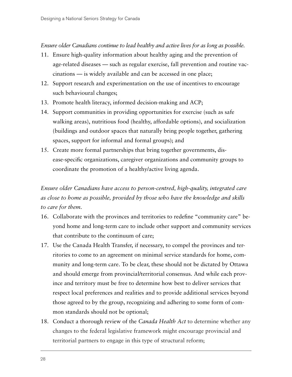#### *Ensure older Canadians continue to lead healthy and active lives for as long as possible.*

- 11. Ensure high-quality information about healthy aging and the prevention of age-related diseases — such as regular exercise, fall prevention and routine vaccinations — is widely available and can be accessed in one place;
- 12. Support research and experimentation on the use of incentives to encourage such behavioural changes;
- 13. Promote health literacy, informed decision-making and ACP;
- 14. Support communities in providing opportunities for exercise (such as safe walking areas), nutritious food (healthy, affordable options), and socialization (buildings and outdoor spaces that naturally bring people together, gathering spaces, support for informal and formal groups); and
- 15. Create more formal partnerships that bring together governments, disease-specific organizations, caregiver organizations and community groups to coordinate the promotion of a healthy/active living agenda.

*Ensure older Canadians have access to person-centred, high-quality, integrated care as close to home as possible, provided by those who have the knowledge and skills to care for them.*

- 16. Collaborate with the provinces and territories to redefine "community care" beyond home and long-term care to include other support and community services that contribute to the continuum of care;
- 17. Use the Canada Health Transfer, if necessary, to compel the provinces and territories to come to an agreement on minimal service standards for home, community and long-term care. To be clear, these should not be dictated by Ottawa and should emerge from provincial/territorial consensus. And while each province and territory must be free to determine how best to deliver services that respect local preferences and realities and to provide additional services beyond those agreed to by the group, recognizing and adhering to some form of common standards should not be optional;
- 18. Conduct a thorough review of the *Canada Health Act* to determine whether any changes to the federal legislative framework might encourage provincial and territorial partners to engage in this type of structural reform;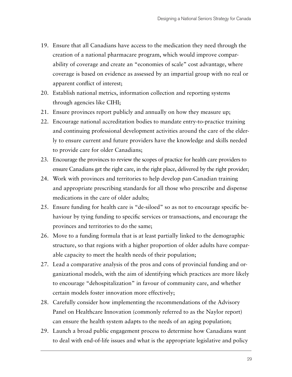- 19. Ensure that all Canadians have access to the medication they need through the creation of a national pharmacare program, which would improve comparability of coverage and create an "economies of scale" cost advantage, where coverage is based on evidence as assessed by an impartial group with no real or apparent conflict of interest;
- 20. Establish national metrics, information collection and reporting systems through agencies like CIHI;
- 21. Ensure provinces report publicly and annually on how they measure up;
- 22. Encourage national accreditation bodies to mandate entry-to-practice training and continuing professional development activities around the care of the elderly to ensure current and future providers have the knowledge and skills needed to provide care for older Canadians;
- 23. Encourage the provinces to review the scopes of practice for health care providers to ensure Canadians get the right care, in the right place, delivered by the right provider;
- 24. Work with provinces and territories to help develop pan-Canadian training and appropriate prescribing standards for all those who prescribe and dispense medications in the care of older adults;
- 25. Ensure funding for health care is "de-siloed" so as not to encourage specific behaviour by tying funding to specific services or transactions, and encourage the provinces and territories to do the same;
- 26. Move to a funding formula that is at least partially linked to the demographic structure, so that regions with a higher proportion of older adults have comparable capacity to meet the health needs of their population;
- 27. Lead a comparative analysis of the pros and cons of provincial funding and organizational models, with the aim of identifying which practices are more likely to encourage "dehospitalization" in favour of community care, and whether certain models foster innovation more effectively;
- 28. Carefully consider how implementing the recommendations of the Advisory Panel on Healthcare Innovation (commonly referred to as the Naylor report) can ensure the health system adapts to the needs of an aging population;
- 29. Launch a broad public engagement process to determine how Canadians want to deal with end-of-life issues and what is the appropriate legislative and policy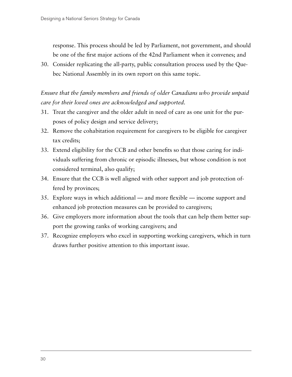response. This process should be led by Parliament, not government, and should be one of the first major actions of the 42nd Parliament when it convenes; and

30. Consider replicating the all-party, public consultation process used by the Quebec National Assembly in its own report on this same topic.

*Ensure that the family members and friends of older Canadians who provide unpaid care for their loved ones are acknowledged and supported.*

- 31. Treat the caregiver and the older adult in need of care as one unit for the purposes of policy design and service delivery;
- 32. Remove the cohabitation requirement for caregivers to be eligible for caregiver tax credits;
- 33. Extend eligibility for the CCB and other benefits so that those caring for individuals suffering from chronic or episodic illnesses, but whose condition is not considered terminal, also qualify;
- 34. Ensure that the CCB is well aligned with other support and job protection offered by provinces;
- 35. Explore ways in which additional and more flexible income support and enhanced job protection measures can be provided to caregivers;
- 36. Give employers more information about the tools that can help them better support the growing ranks of working caregivers; and
- 37. Recognize employers who excel in supporting working caregivers, which in turn draws further positive attention to this important issue.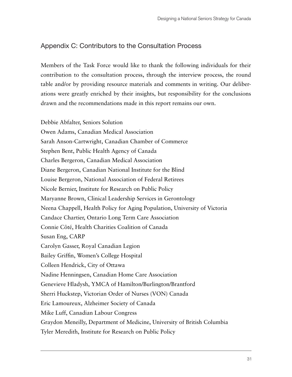# Appendix C: Contributors to the Consultation Process

Members of the Task Force would like to thank the following individuals for their contribution to the consultation process, through the interview process, the round table and/or by providing resource materials and comments in writing. Our deliberations were greatly enriched by their insights, but responsibility for the conclusions drawn and the recommendations made in this report remains our own.

Debbie Abfalter, Seniors Solution Owen Adams, Canadian Medical Association Sarah Anson-Cartwright, Canadian Chamber of Commerce Stephen Bent, Public Health Agency of Canada Charles Bergeron, Canadian Medical Association Diane Bergeron, Canadian National Institute for the Blind Louise Bergeron, National Association of Federal Retirees Nicole Bernier, Institute for Research on Public Policy Maryanne Brown, Clinical Leadership Services in Gerontology Neena Chappell, Health Policy for Aging Population, University of Victoria Candace Chartier, Ontario Long Term Care Association Connie Côté, Health Charities Coalition of Canada Susan Eng, CARP Carolyn Gasser, Royal Canadian Legion Bailey Griffin, Women's College Hospital Colleen Hendrick, City of Ottawa Nadine Henningsen, Canadian Home Care Association Genevieve Hladysh, YMCA of Hamilton/Burlington/Brantford Sherri Huckstep, Victorian Order of Nurses (VON) Canada Eric Lamoureux, Alzheimer Society of Canada Mike Luff, Canadian Labour Congress Graydon Meneilly, Department of Medicine, University of British Columbia Tyler Meredith, Institute for Research on Public Policy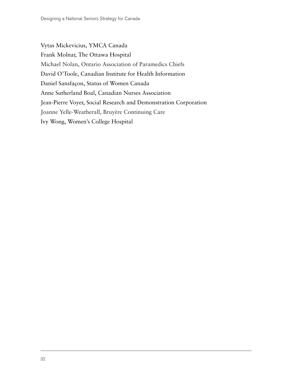Vytas Mickevicius, YMCA Canada Frank Molnar, The Ottawa Hospital Michael Nolan, Ontario Association of Paramedics Chiefs David O'Toole, Canadian Institute for Health Information Daniel Sansfaçon, Status of Women Canada Anne Sutherland Boal, Canadian Nurses Association Jean-Pierre Voyer, Social Research and Demonstration Corporation Joanne Yelle-Weatherall, Bruyère Continuing Care Ivy Wong, Women's College Hospital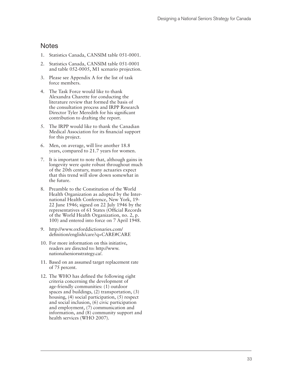#### **Notes**

- 1. Statistics Canada, CANSIM table 051-0001.
- 2. Statistics Canada, CANSIM table 051-0001 and table 052-0005, M1 scenario projection.
- 3. Please see Appendix A for the list of task force members.
- 4. The Task Force would like to thank Alexandra Charette for conducting the literature review that formed the basis of the consultation process and IRPP Research Director Tyler Meredith for his significant contribution to drafting the report.
- 5. The IRPP would like to thank the Canadian Medical Association for its financial support for this project.
- 6. Men, on average, will live another 18.8 years, compared to 21.7 years for women.
- 7. It is important to note that, although gains in longevity were quite robust throughout much of the 20th century, many actuaries expect that this trend will slow down somewhat in the future.
- 8. Preamble to the Constitution of the World Health Organization as adopted by the Inter national Health Conference, New York, 19- 22 June 1946; signed on 22 July 1946 by the representatives of 61 States (Official Records of the World Health Organization, no. 2, p. 100) and entered into force on 7 April 1948.
- 9. http://www.oxforddictionaries.com/ definition/english/care?q=CARE#CARE
- 10. For more information on this initiative, readers are directed to: http://www. nationalseniorsstrategy.ca/.
- 11. Based on an assumed target replacement rate of 75 percent.
- 12. The WHO has defined the following eight criteria concerning the development of age-friendly communities: (1) outdoor spaces and buildings, (2) transportation, (3) housing, (4) social participation, (5) respect and social inclusion, (6) civic participation and employment, (7) communication and information, and (8) community support and health services (WHO 2007).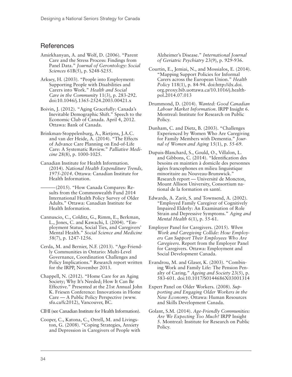#### **References**

- Amirkhanyan, A. and Wolf, D. (2006). "Parent Care and the Stress Process: Findings from Panel Data." *Journal of Gerontology: Social Sciences* 61B(5), p. S248-S255.
- Arksey, H. (2003). "People into Employment: Supporting People with Disabilities and Carers into Work." *Health and Social Care in the Community* 11(3), p. 283-292. doi:10.1046/j.1365-2524.2003.00421.x
- Boivin, J. (2012). "Aging Gracefully: Canada's Inevitable Demographic Shift." Speech to the Economic Club of Canada. April 4, 2012. Ottawa: Bank of Canada.
- Brinkman-Stoppelenburg, A., Rietjens, J.A.C. and van der Heide, A. (2014). "The Effects of Advance Care Planning on End-of-Life Care: A Systematic Review." *Palliative Medicine* 28(8), p. 1000-1025.
- Canadian Institute for Health Information. (2014). *National Health Expenditure Trends, 1975-2014*. Ottawa: Canadian Institute for Health Information.
- -(2015). "How Canada Compares: Results from the Commonwealth Fund 2014 International Health Policy Survey of Older Adults." Ottawa: Canadian Institute for Health Information.
- Cannuscio, C., Colditz, G., Rimm, E., Berkman, L., Jones, C. and Kawachi, I. (2004). "Employment Status, Social Ties, and Caregivers' Mental Health." *Social Science and Medicine*  58(7), p. 1247-1256.
- Cerda, M. and Bernier, N.F. (2013). "Age-Friendly Communities in Ontario: Multi-Level Governance, Coordination Challenges and Policy Implications." Research report written for the IRPP, November 2013.
- Chappell, N. (2012). "Home Care for an Aging Society; Why It's Needed; How It Can Be Effective." Presented at the 21st Annual John K. Friesen Conference: Innovations in Home Care — A Public Policy Perspective (www. sfu.ca/fc2012), Vancouver, BC.

CIHI (see Canadian Institute for Health Information).

Cooper, C., Katona, C., Orrell, M. and Livingston, G. (2008). "Coping Strategies, Anxiety and Depression in Caregivers of People with

Alzheimer's Disease." *International Journal of Geriatric Psychiatry* 23(9), p. 929-936.

- Courtin, E., Jemiai, N., and Mossialos, E. (2014). "Mapping Support Policies for Informal Carers across the European Union." *Health Policy* 118(1), p. 84-94. doi:http://dx.doi. org.proxy.bib.uottawa.ca/10.1016/j.healthpol.2014.07.013
- Drummond, D. (2014). *Wanted: Good Canadian Labour Market Information*. IRPP Insight 6. Montreal: Institute for Research on Public Policy.
- Dunham, C. and Dietz, B. (2003). "Challenges Experienced by Women Who Are Caregiving for Family Members with Dementia." *Journal of Women and Aging* 15(1), p. 55-69.
- Dupuis-Blanchard, S., Gould, O., Villalon, L. and Gibbons, C. (2014). "Identification des besoins en maintien à domicile des personnes âgées francophones en milieu linguistique minoritaire au Nouveau-Brunswick." Research report — Université de Moncton, Mount Allison University, Consortium national de la formation en santé.
- Edwards, A. Zarit, S. and Townsend, A. (2002). "Employed Family Caregiver of Cognitively Impaired Elderly: An Examination of Role Strain and Depressive Symptoms." *Aging and Mental Health* 6(1), p. 55-61.
- Employer Panel for Caregivers. (2015). *When Work and Caregiving Collide: How Employers Can Support Their Employees Who Are Caregivers*. Report from the Employer Panel for Caregivers. Ottawa: Employment and Social Development Canada.
- Evandrou, M. and Glaser, K. (2003). "Combining Work and Family Life: The Pension Penalty of Caring." *Ageing and Society* 23(5), p. 583-601. doi:10.1017/S0144686X03001314
- Expert Panel on Older Workers. (2008). *Supporting and Engaging Older Workers in the New Economy*. Ottawa: Human Resources and Skills Development Canada.
- Golant, S.M. (2014). *Age-Friendly Communities: Are We Expecting Too Much?* IRPP Insight 5. Montreal: Institute for Research on Public Policy.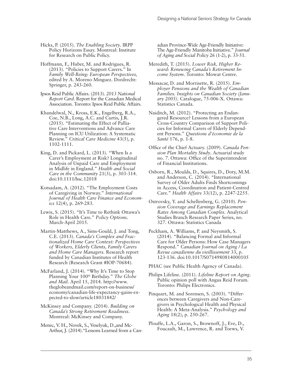Hicks, P. (2015). *The Enabling Society*. IRPP Policy Horizons Essay. Montreal: Institute for Research on Public Policy.

Hoffmann, F., Huber, M. and Rodrigues, R. (2013). "Policies to Support Carers." In *Family Well-Being: European Perspectives,*  edited by A. Moreno Minguez. Dordrecht: Springer, p. 243-260.

Ipsos Reid Public Affairs. (2013). *2013 National Report Card*. Report for the Canadian Medical Association. Toronto: Ipsos Reid Public Affairs.

Khandelwal, N., Kross, E.K., Engelberg, R.A., Coe, N.B., Long, A.C. and Curtis, J.R. (2015). "Estimating the Effect of Palliative Care Interventions and Advance Care Planning on ICU Utilization: A Systematic Review." *Critical Care Medicine* 43(5), p. 1102-1111.

King, D. and Pickard, L. (2013). "When Is a Carer's Employment at Risk? Longitudinal Analysis of Unpaid Care and Employment in Midlife in England." *Health and Social Care in the Community* 21(3), p. 303-314. doi:10.1111/hsc.12018

Kotsadam, A. (2012). "The Employment Costs of Caregiving in Norway." *International Journal of Health Care Finance and Economics* 12(4), p. 269-283.

Lewis, S. (2015). "It's Time to Rethink Ottawa's Role in Health Care." *Policy Options*. March-April 2015.

Martin-Matthews, A., Sims-Gould, J. and Tong, C.E. (2013). *Canada's Complex and Fractionalized Home Care Context: Perspectives of Workers, Elderly Clients, Family Carers and Home Care Managers.* Research report funded by Canadian Institutes of Health Research (Research Grant #IOP-70684).

McFarland, J. (2014). "Why It's Time to Stop Planning Your 100th Birthday." *The Globe and Mail*. April 15, 2014. http://www. theglobeandmail.com/report-on-business/ economy/canadian-life-expectancy-gains-expected-to-slow/article18031842/

McKinsey and Company. (2014). *Building on Canada's Strong Retirement Readiness*. Montreal: McKinsey and Company.

Menec, V. H., Novek, S., Veselyuk, D.,and Mc-Arthur, J. (2014)."Lessons Learned from a Can-

adian Province-Wide Age-Friendly Initiative: The Age-Friendly Manitoba Initiative." *Journal of Aging and Social Policy* 26 (1-2), p. 33-51.

Meredith, T. (2015). *Lower Risk, Higher Reward: Renewing Canada's Retirement Income System*. Toronto: Mowat Centre.

Messacar, D. and Morrisette, R. (2015). *Employer Pensions and the Wealth of Canadian Families. Insights on Canadian Society (January 2005).* Catalogue, 75-006-X. Ottawa: Statistics Canada.

Naiditch, M. (2012). "Protecting an Endangered Resource? Lessons from a European Cross-Country Comparison of Support Policies for Informal Carers of Elderly Dependent Persons." *Questions d'économie de la Santé* 176, p. 1-8.

Office of the Chief Actuary. (2009). *Canada Pension Plan Mortality Study*. Actuarial study no. 7. Ottawa: Office of the Superintendent of Financial Institutions.

Osborn, R., Moulds, D., Squires, D., Doty, M.M. and Anderson, C. (2014). "International Survey of Older Adults Finds Shortcomings in Access, Coordination and Patient-Centred Care." *Health Affairs* 33(12), p. 2247-2255.

Ostrovsky, Y. and Schellenberg, G. (2010). *Pension Coverage and Earnings Replacement Rates Among Canadian Couples.* Analytical Studies Branch Research Paper Series, no. 327. Ottawa: Statistics Canada

Peckham, A. Williams, P. and Neysmith, S. (2014). "Balancing Formal and Informal Care for Older Persons: How Case Managers Respond." *Canadian Journal on Aging / La Revue canadienne du vieillissement* 33, p. 123-136. doi:10.1017/S0714980814000105

PHAC (see Public Health Agency of Canada).

Philips Lifeline. (2011). *Lifeline Report on Aging*. Public opinion poll with Angus Reid Forum. Toronto: Philips Electronics.

Pinquart, M. and Sorensen, S. (2003). "Differences between Caregivers and Non-Caregivers in Psychological Health and Physical Health: A Meta-Analysis." *Psychology and Aging* 18(2), p. 250-267.

Plouffe, L.A., Garon, S., Brownoff, J., Eve, D., Foucault, M., Lawrence, R. and Toews, V.